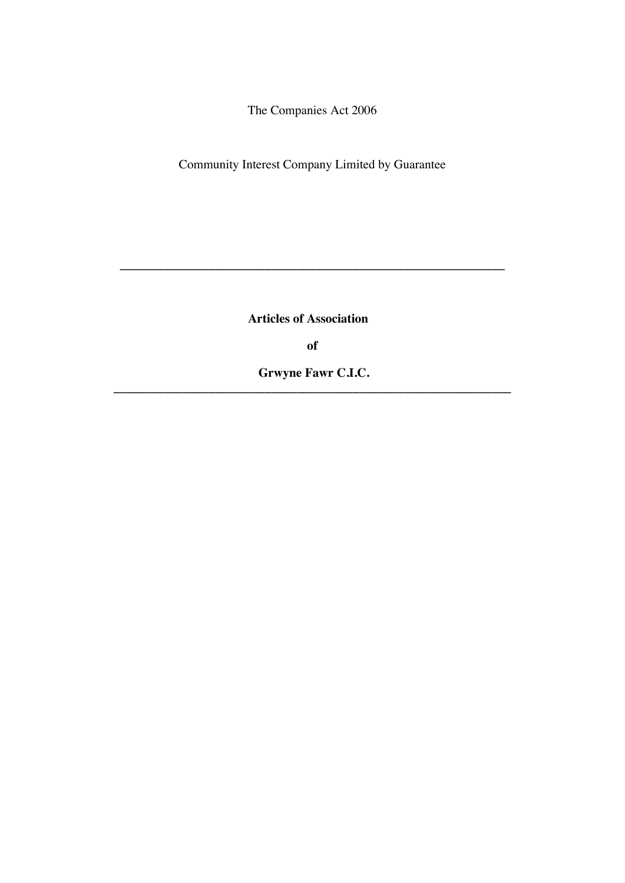The Companies Act 2006

Community Interest Company Limited by Guarantee

**Articles of Association**

**\_\_\_\_\_\_\_\_\_\_\_\_\_\_\_\_\_\_\_\_\_\_\_\_\_\_\_\_\_\_\_\_\_\_\_\_\_\_\_\_\_\_\_\_\_\_\_\_\_\_\_\_\_\_\_\_\_\_\_\_\_**

**of**

**Grwyne Fawr C.I.C. \_\_\_\_\_\_\_\_\_\_\_\_\_\_\_\_\_\_\_\_\_\_\_\_\_\_\_\_\_\_\_\_\_\_\_\_\_\_\_\_\_\_\_\_\_\_\_\_\_\_\_\_\_\_\_\_\_\_\_\_\_\_\_**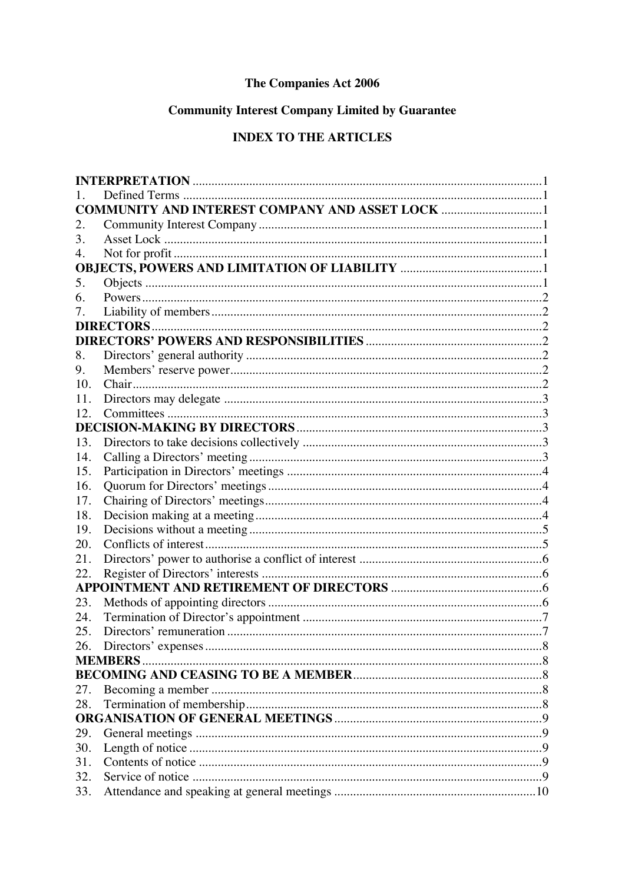# The Companies Act 2006

# **Community Interest Company Limited by Guarantee**

# **INDEX TO THE ARTICLES**

|     | <b>COMMUNITY AND INTEREST COMPANY AND ASSET LOCK </b> 1 |  |  |  |
|-----|---------------------------------------------------------|--|--|--|
| 2.  |                                                         |  |  |  |
| 3.  |                                                         |  |  |  |
| 4.  |                                                         |  |  |  |
|     |                                                         |  |  |  |
| 5.  |                                                         |  |  |  |
| 6.  |                                                         |  |  |  |
| 7.  |                                                         |  |  |  |
|     |                                                         |  |  |  |
|     |                                                         |  |  |  |
| 8.  |                                                         |  |  |  |
| 9.  |                                                         |  |  |  |
| 10. |                                                         |  |  |  |
| 11. |                                                         |  |  |  |
| 12. |                                                         |  |  |  |
|     |                                                         |  |  |  |
| 13. |                                                         |  |  |  |
| 14. |                                                         |  |  |  |
| 15. |                                                         |  |  |  |
| 16. |                                                         |  |  |  |
| 17. |                                                         |  |  |  |
| 18. |                                                         |  |  |  |
| 19. |                                                         |  |  |  |
| 20. |                                                         |  |  |  |
| 21. |                                                         |  |  |  |
| 22. |                                                         |  |  |  |
|     |                                                         |  |  |  |
| 23. |                                                         |  |  |  |
| 24. |                                                         |  |  |  |
| 25. |                                                         |  |  |  |
| 26. |                                                         |  |  |  |
|     | <b>MEMBERS.</b>                                         |  |  |  |
|     |                                                         |  |  |  |
| 27. |                                                         |  |  |  |
| 28. |                                                         |  |  |  |
|     |                                                         |  |  |  |
| 29. |                                                         |  |  |  |
| 30. |                                                         |  |  |  |
| 31. |                                                         |  |  |  |
| 32. |                                                         |  |  |  |
| 33. |                                                         |  |  |  |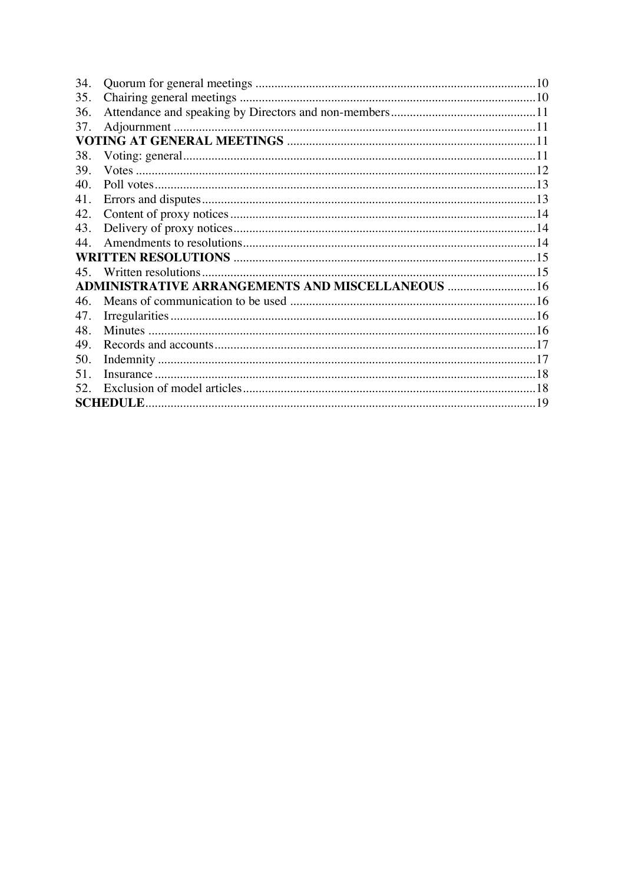| 34.             |                                                          |  |  |  |  |
|-----------------|----------------------------------------------------------|--|--|--|--|
| 35.             |                                                          |  |  |  |  |
| 36.             |                                                          |  |  |  |  |
| 37.             |                                                          |  |  |  |  |
|                 |                                                          |  |  |  |  |
| 38.             |                                                          |  |  |  |  |
| 39.             |                                                          |  |  |  |  |
| 40.             |                                                          |  |  |  |  |
| 41.             |                                                          |  |  |  |  |
| 42.             |                                                          |  |  |  |  |
| 43.             |                                                          |  |  |  |  |
| 44 <sub>1</sub> |                                                          |  |  |  |  |
|                 |                                                          |  |  |  |  |
|                 |                                                          |  |  |  |  |
|                 | <b>ADMINISTRATIVE ARRANGEMENTS AND MISCELLANEOUS  16</b> |  |  |  |  |
| 46.             |                                                          |  |  |  |  |
| 47.             |                                                          |  |  |  |  |
| 48.             |                                                          |  |  |  |  |
| 49.             |                                                          |  |  |  |  |
| 50.             |                                                          |  |  |  |  |
| 51.             |                                                          |  |  |  |  |
| 52.             |                                                          |  |  |  |  |
|                 |                                                          |  |  |  |  |
|                 |                                                          |  |  |  |  |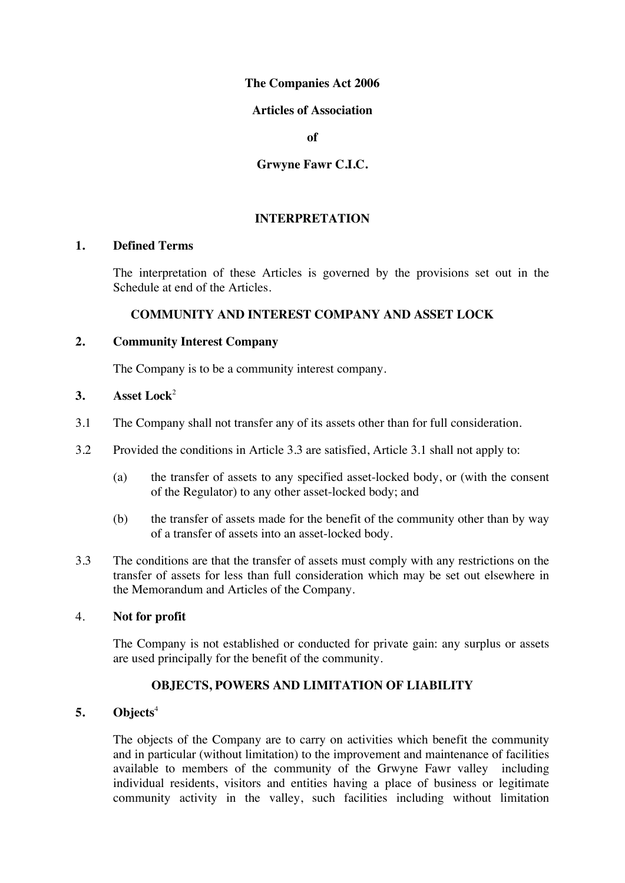### **The Companies Act 2006**

### **Articles of Association**

**of** 

**Grwyne Fawr C.I.C.**

# **INTERPRETATION**

### **1. Defined Terms**

The interpretation of these Articles is governed by the provisions set out in the Schedule at end of the Articles.

# **COMMUNITY AND INTEREST COMPANY AND ASSET LOCK**

### **2. Community Interest Company**

The Company is to be a community interest company.

### **3. Asset Lock**<sup>2</sup>

- 3.1 The Company shall not transfer any of its assets other than for full consideration.
- 3.2 Provided the conditions in Article 3.3 are satisfied, Article 3.1 shall not apply to:
	- (a) the transfer of assets to any specified asset-locked body, or (with the consent of the Regulator) to any other asset-locked body; and
	- (b) the transfer of assets made for the benefit of the community other than by way of a transfer of assets into an asset-locked body.
- 3.3 The conditions are that the transfer of assets must comply with any restrictions on the transfer of assets for less than full consideration which may be set out elsewhere in the Memorandum and Articles of the Company.

### 4. **Not for profit**

The Company is not established or conducted for private gain: any surplus or assets are used principally for the benefit of the community.

# **OBJECTS, POWERS AND LIMITATION OF LIABILITY**

# **5. Objects**<sup>4</sup>

The objects of the Company are to carry on activities which benefit the community and in particular (without limitation) to the improvement and maintenance of facilities available to members of the community of the Grwyne Fawr valley including individual residents, visitors and entities having a place of business or legitimate community activity in the valley, such facilities including without limitation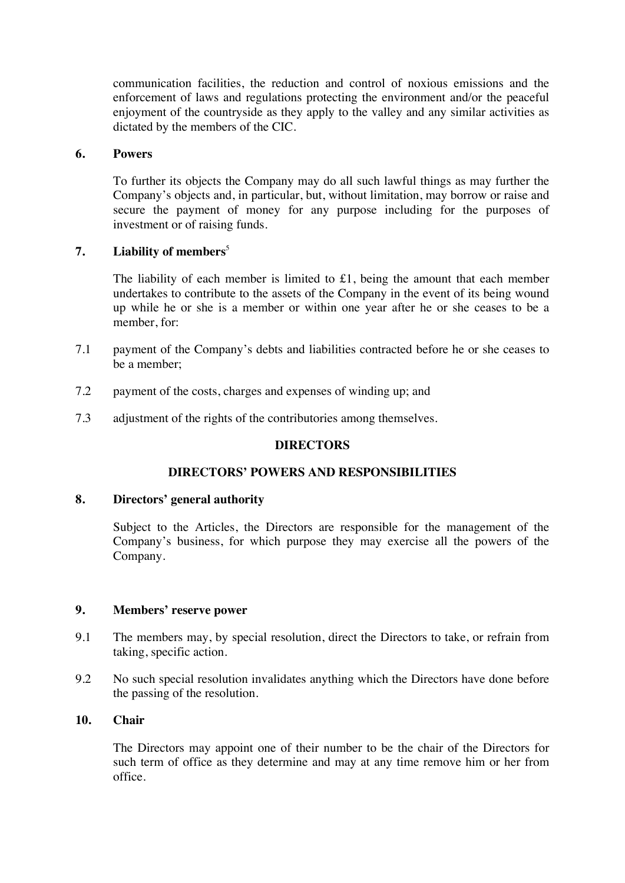communication facilities, the reduction and control of noxious emissions and the enforcement of laws and regulations protecting the environment and/or the peaceful enjoyment of the countryside as they apply to the valley and any similar activities as dictated by the members of the CIC.

### **6. Powers**

To further its objects the Company may do all such lawful things as may further the Company's objects and, in particular, but, without limitation, may borrow or raise and secure the payment of money for any purpose including for the purposes of investment or of raising funds.

#### **7. Liability of members**<sup>5</sup>

The liability of each member is limited to £1, being the amount that each member undertakes to contribute to the assets of the Company in the event of its being wound up while he or she is a member or within one year after he or she ceases to be a member, for:

- 7.1 payment of the Company's debts and liabilities contracted before he or she ceases to be a member;
- 7.2 payment of the costs, charges and expenses of winding up; and
- 7.3 adjustment of the rights of the contributories among themselves.

#### **DIRECTORS**

### **DIRECTORS' POWERS AND RESPONSIBILITIES**

#### **8. Directors' general authority**

Subject to the Articles, the Directors are responsible for the management of the Company's business, for which purpose they may exercise all the powers of the Company.

#### **9. Members' reserve power**

- 9.1 The members may, by special resolution, direct the Directors to take, or refrain from taking, specific action.
- 9.2 No such special resolution invalidates anything which the Directors have done before the passing of the resolution.

### **10. Chair**

The Directors may appoint one of their number to be the chair of the Directors for such term of office as they determine and may at any time remove him or her from office.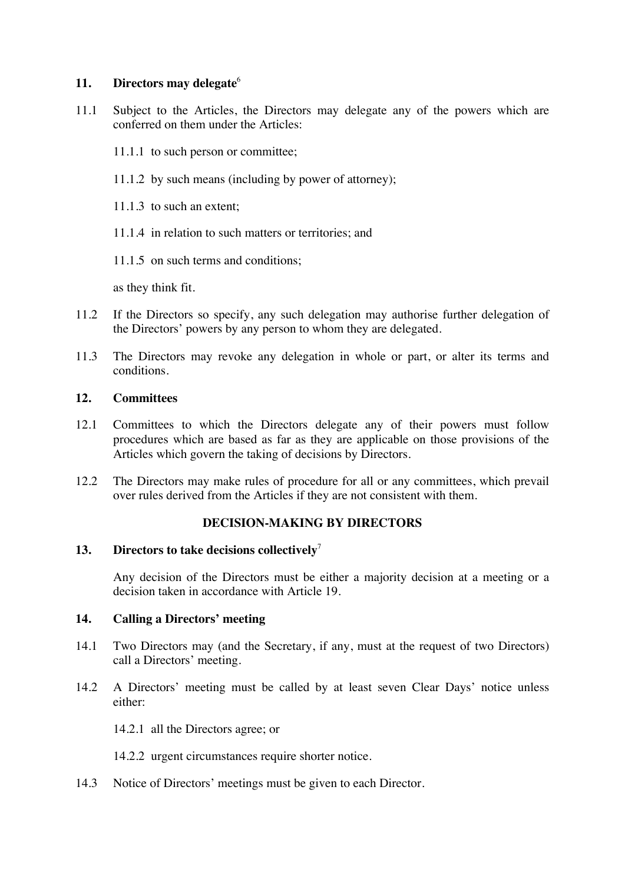### **11. Directors may delegate**<sup>6</sup>

- 11.1 Subject to the Articles, the Directors may delegate any of the powers which are conferred on them under the Articles:
	- 11.1.1 to such person or committee;
	- 11.1.2 by such means (including by power of attorney);
	- 11.1.3 to such an extent;
	- 11.1.4 in relation to such matters or territories; and
	- 11.1.5 on such terms and conditions;

as they think fit.

- 11.2 If the Directors so specify, any such delegation may authorise further delegation of the Directors' powers by any person to whom they are delegated.
- 11.3 The Directors may revoke any delegation in whole or part, or alter its terms and conditions.

## **12. Committees**

- 12.1 Committees to which the Directors delegate any of their powers must follow procedures which are based as far as they are applicable on those provisions of the Articles which govern the taking of decisions by Directors.
- 12.2 The Directors may make rules of procedure for all or any committees, which prevail over rules derived from the Articles if they are not consistent with them.

# **DECISION-MAKING BY DIRECTORS**

### **13.** Directors to take decisions collectively<sup>7</sup>

Any decision of the Directors must be either a majority decision at a meeting or a decision taken in accordance with Article 19.

### **14. Calling a Directors' meeting**

- 14.1 Two Directors may (and the Secretary, if any, must at the request of two Directors) call a Directors' meeting.
- 14.2 A Directors' meeting must be called by at least seven Clear Days' notice unless either:

14.2.1 all the Directors agree; or

14.2.2 urgent circumstances require shorter notice.

14.3 Notice of Directors' meetings must be given to each Director.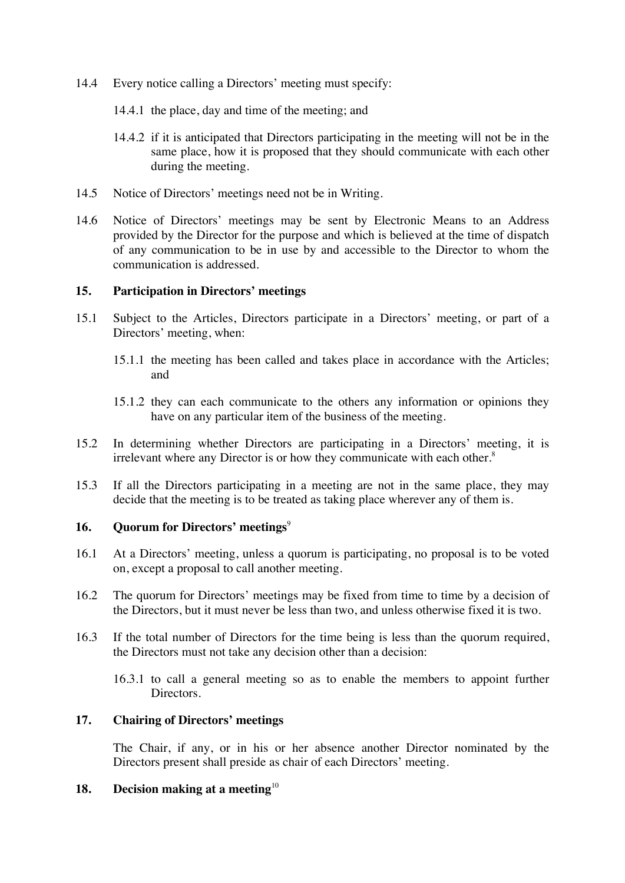- 14.4 Every notice calling a Directors' meeting must specify:
	- 14.4.1 the place, day and time of the meeting; and
	- 14.4.2 if it is anticipated that Directors participating in the meeting will not be in the same place, how it is proposed that they should communicate with each other during the meeting.
- 14.5 Notice of Directors' meetings need not be in Writing.
- 14.6 Notice of Directors' meetings may be sent by Electronic Means to an Address provided by the Director for the purpose and which is believed at the time of dispatch of any communication to be in use by and accessible to the Director to whom the communication is addressed.

### **15. Participation in Directors' meetings**

- 15.1 Subject to the Articles, Directors participate in a Directors' meeting, or part of a Directors' meeting, when:
	- 15.1.1 the meeting has been called and takes place in accordance with the Articles; and
	- 15.1.2 they can each communicate to the others any information or opinions they have on any particular item of the business of the meeting.
- 15.2 In determining whether Directors are participating in a Directors' meeting, it is irrelevant where any Director is or how they communicate with each other.<sup>8</sup>
- 15.3 If all the Directors participating in a meeting are not in the same place, they may decide that the meeting is to be treated as taking place wherever any of them is.

## **16. Quorum for Directors' meetings**<sup>9</sup>

- 16.1 At a Directors' meeting, unless a quorum is participating, no proposal is to be voted on, except a proposal to call another meeting.
- 16.2 The quorum for Directors' meetings may be fixed from time to time by a decision of the Directors, but it must never be less than two, and unless otherwise fixed it is two.
- 16.3 If the total number of Directors for the time being is less than the quorum required, the Directors must not take any decision other than a decision:
	- 16.3.1 to call a general meeting so as to enable the members to appoint further Directors.

### **17. Chairing of Directors' meetings**

The Chair, if any, or in his or her absence another Director nominated by the Directors present shall preside as chair of each Directors' meeting.

## **18. Decision making at a meeting**<sup>10</sup>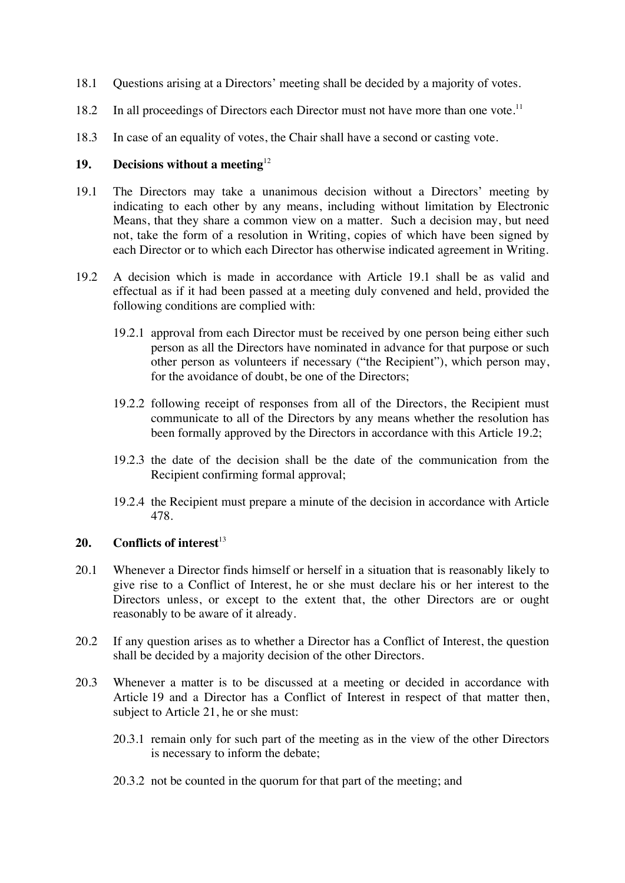- 18.1 Questions arising at a Directors' meeting shall be decided by a majority of votes.
- 18.2 In all proceedings of Directors each Director must not have more than one vote.<sup>11</sup>
- 18.3 In case of an equality of votes, the Chair shall have a second or casting vote.

### **19. Decisions without a meeting**<sup>12</sup>

- 19.1 The Directors may take a unanimous decision without a Directors' meeting by indicating to each other by any means, including without limitation by Electronic Means, that they share a common view on a matter. Such a decision may, but need not, take the form of a resolution in Writing, copies of which have been signed by each Director or to which each Director has otherwise indicated agreement in Writing.
- 19.2 A decision which is made in accordance with Article 19.1 shall be as valid and effectual as if it had been passed at a meeting duly convened and held, provided the following conditions are complied with:
	- 19.2.1 approval from each Director must be received by one person being either such person as all the Directors have nominated in advance for that purpose or such other person as volunteers if necessary ("the Recipient"), which person may, for the avoidance of doubt, be one of the Directors;
	- 19.2.2 following receipt of responses from all of the Directors, the Recipient must communicate to all of the Directors by any means whether the resolution has been formally approved by the Directors in accordance with this Article 19.2;
	- 19.2.3 the date of the decision shall be the date of the communication from the Recipient confirming formal approval;
	- 19.2.4 the Recipient must prepare a minute of the decision in accordance with Article 478.

# **20. Conflicts of interest**<sup>13</sup>

- 20.1 Whenever a Director finds himself or herself in a situation that is reasonably likely to give rise to a Conflict of Interest, he or she must declare his or her interest to the Directors unless, or except to the extent that, the other Directors are or ought reasonably to be aware of it already.
- 20.2 If any question arises as to whether a Director has a Conflict of Interest, the question shall be decided by a majority decision of the other Directors.
- 20.3 Whenever a matter is to be discussed at a meeting or decided in accordance with Article 19 and a Director has a Conflict of Interest in respect of that matter then, subject to Article 21, he or she must:
	- 20.3.1 remain only for such part of the meeting as in the view of the other Directors is necessary to inform the debate;
	- 20.3.2 not be counted in the quorum for that part of the meeting; and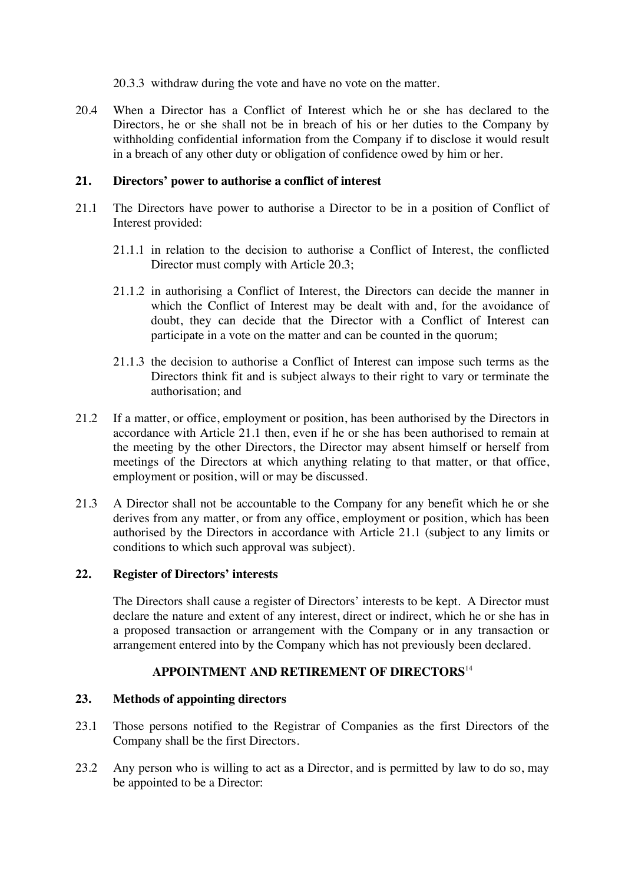20.3.3 withdraw during the vote and have no vote on the matter.

20.4 When a Director has a Conflict of Interest which he or she has declared to the Directors, he or she shall not be in breach of his or her duties to the Company by withholding confidential information from the Company if to disclose it would result in a breach of any other duty or obligation of confidence owed by him or her.

## **21. Directors' power to authorise a conflict of interest**

- 21.1 The Directors have power to authorise a Director to be in a position of Conflict of Interest provided:
	- 21.1.1 in relation to the decision to authorise a Conflict of Interest, the conflicted Director must comply with Article 20.3;
	- 21.1.2 in authorising a Conflict of Interest, the Directors can decide the manner in which the Conflict of Interest may be dealt with and, for the avoidance of doubt, they can decide that the Director with a Conflict of Interest can participate in a vote on the matter and can be counted in the quorum;
	- 21.1.3 the decision to authorise a Conflict of Interest can impose such terms as the Directors think fit and is subject always to their right to vary or terminate the authorisation; and
- 21.2 If a matter, or office, employment or position, has been authorised by the Directors in accordance with Article 21.1 then, even if he or she has been authorised to remain at the meeting by the other Directors, the Director may absent himself or herself from meetings of the Directors at which anything relating to that matter, or that office, employment or position, will or may be discussed.
- 21.3 A Director shall not be accountable to the Company for any benefit which he or she derives from any matter, or from any office, employment or position, which has been authorised by the Directors in accordance with Article 21.1 (subject to any limits or conditions to which such approval was subject).

### **22. Register of Directors' interests**

The Directors shall cause a register of Directors' interests to be kept. A Director must declare the nature and extent of any interest, direct or indirect, which he or she has in a proposed transaction or arrangement with the Company or in any transaction or arrangement entered into by the Company which has not previously been declared.

# **APPOINTMENT AND RETIREMENT OF DIRECTORS**<sup>14</sup>

### **23. Methods of appointing directors**

- 23.1 Those persons notified to the Registrar of Companies as the first Directors of the Company shall be the first Directors.
- 23.2 Any person who is willing to act as a Director, and is permitted by law to do so, may be appointed to be a Director: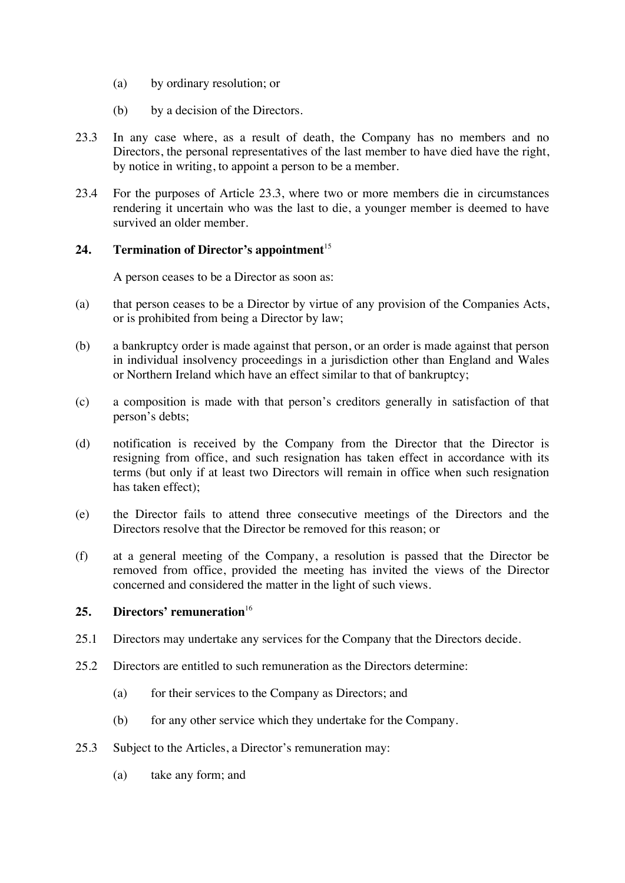- (a) by ordinary resolution; or
- (b) by a decision of the Directors.
- 23.3 In any case where, as a result of death, the Company has no members and no Directors, the personal representatives of the last member to have died have the right, by notice in writing, to appoint a person to be a member.
- 23.4 For the purposes of Article 23.3, where two or more members die in circumstances rendering it uncertain who was the last to die, a younger member is deemed to have survived an older member.

# 24. **Termination of Director's appointment**<sup>15</sup>

A person ceases to be a Director as soon as:

- (a) that person ceases to be a Director by virtue of any provision of the Companies Acts, or is prohibited from being a Director by law;
- (b) a bankruptcy order is made against that person, or an order is made against that person in individual insolvency proceedings in a jurisdiction other than England and Wales or Northern Ireland which have an effect similar to that of bankruptcy;
- (c) a composition is made with that person's creditors generally in satisfaction of that person's debts;
- (d) notification is received by the Company from the Director that the Director is resigning from office, and such resignation has taken effect in accordance with its terms (but only if at least two Directors will remain in office when such resignation has taken effect);
- (e) the Director fails to attend three consecutive meetings of the Directors and the Directors resolve that the Director be removed for this reason; or
- (f) at a general meeting of the Company, a resolution is passed that the Director be removed from office, provided the meeting has invited the views of the Director concerned and considered the matter in the light of such views.

# **25. Directors' remuneration**<sup>16</sup>

- 25.1 Directors may undertake any services for the Company that the Directors decide.
- 25.2 Directors are entitled to such remuneration as the Directors determine:
	- (a) for their services to the Company as Directors; and
	- (b) for any other service which they undertake for the Company.
- 25.3 Subject to the Articles, a Director's remuneration may:
	- (a) take any form; and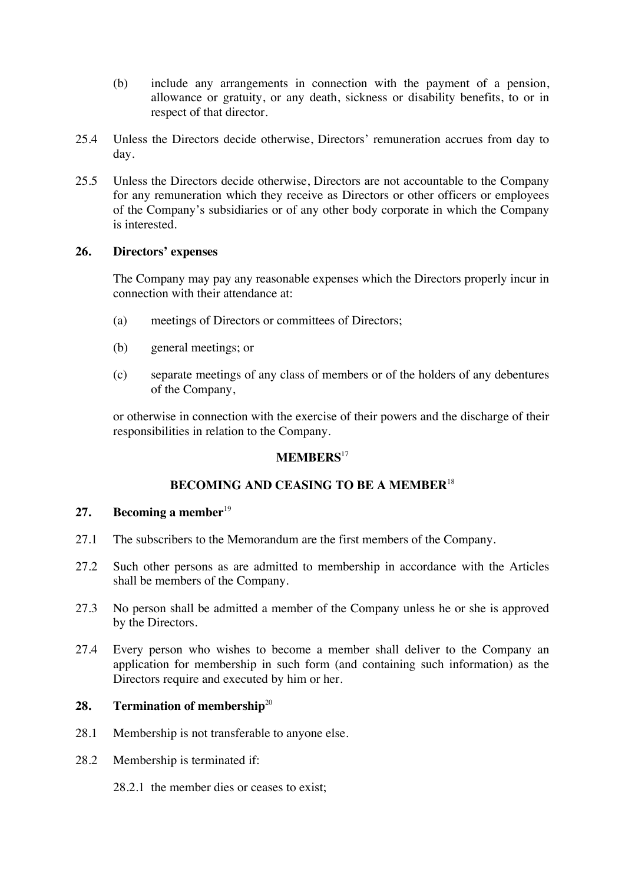- (b) include any arrangements in connection with the payment of a pension, allowance or gratuity, or any death, sickness or disability benefits, to or in respect of that director.
- 25.4 Unless the Directors decide otherwise, Directors' remuneration accrues from day to day.
- 25.5 Unless the Directors decide otherwise, Directors are not accountable to the Company for any remuneration which they receive as Directors or other officers or employees of the Company's subsidiaries or of any other body corporate in which the Company is interested.

### **26. Directors' expenses**

The Company may pay any reasonable expenses which the Directors properly incur in connection with their attendance at:

- (a) meetings of Directors or committees of Directors;
- (b) general meetings; or
- (c) separate meetings of any class of members or of the holders of any debentures of the Company,

or otherwise in connection with the exercise of their powers and the discharge of their responsibilities in relation to the Company.

#### **MEMBERS**<sup>17</sup>

### **BECOMING AND CEASING TO BE A MEMBER**<sup>18</sup>

#### **27. Becoming a member**<sup>19</sup>

- 27.1 The subscribers to the Memorandum are the first members of the Company.
- 27.2 Such other persons as are admitted to membership in accordance with the Articles shall be members of the Company.
- 27.3 No person shall be admitted a member of the Company unless he or she is approved by the Directors.
- 27.4 Every person who wishes to become a member shall deliver to the Company an application for membership in such form (and containing such information) as the Directors require and executed by him or her.

# 28. **Termination of membership**<sup>20</sup>

- 28.1 Membership is not transferable to anyone else.
- 28.2 Membership is terminated if:
	- 28.2.1 the member dies or ceases to exist;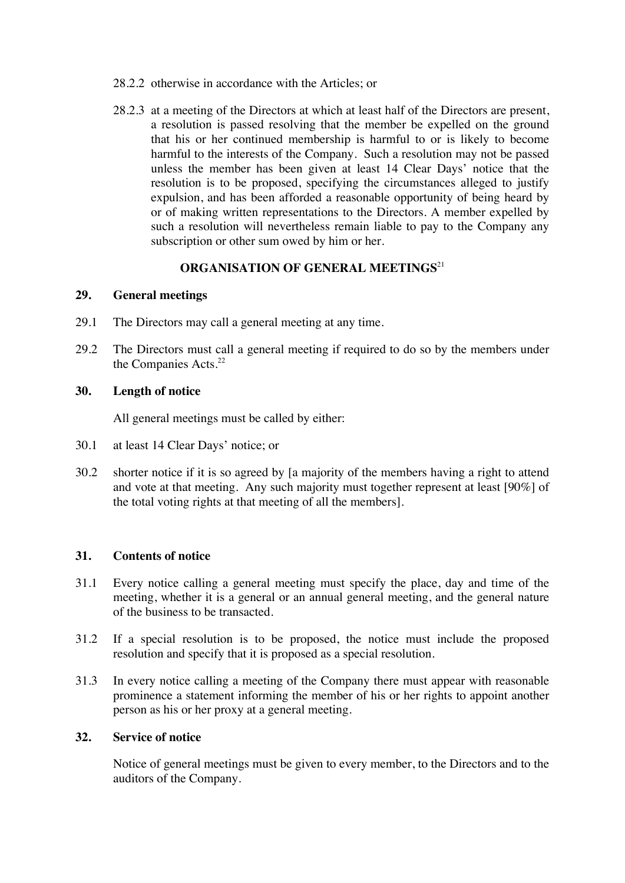- 28.2.2 otherwise in accordance with the Articles; or
- 28.2.3 at a meeting of the Directors at which at least half of the Directors are present, a resolution is passed resolving that the member be expelled on the ground that his or her continued membership is harmful to or is likely to become harmful to the interests of the Company. Such a resolution may not be passed unless the member has been given at least 14 Clear Days' notice that the resolution is to be proposed, specifying the circumstances alleged to justify expulsion, and has been afforded a reasonable opportunity of being heard by or of making written representations to the Directors. A member expelled by such a resolution will nevertheless remain liable to pay to the Company any subscription or other sum owed by him or her.

# **ORGANISATION OF GENERAL MEETINGS**<sup>21</sup>

### **29. General meetings**

- 29.1 The Directors may call a general meeting at any time.
- 29.2 The Directors must call a general meeting if required to do so by the members under the Companies Acts.<sup>22</sup>

### **30. Length of notice**

All general meetings must be called by either:

- 30.1 at least 14 Clear Days' notice; or
- 30.2 shorter notice if it is so agreed by [a majority of the members having a right to attend and vote at that meeting. Any such majority must together represent at least [90%] of the total voting rights at that meeting of all the members].

### **31. Contents of notice**

- 31.1 Every notice calling a general meeting must specify the place, day and time of the meeting, whether it is a general or an annual general meeting, and the general nature of the business to be transacted.
- 31.2 If a special resolution is to be proposed, the notice must include the proposed resolution and specify that it is proposed as a special resolution.
- 31.3 In every notice calling a meeting of the Company there must appear with reasonable prominence a statement informing the member of his or her rights to appoint another person as his or her proxy at a general meeting.

### **32. Service of notice**

Notice of general meetings must be given to every member, to the Directors and to the auditors of the Company.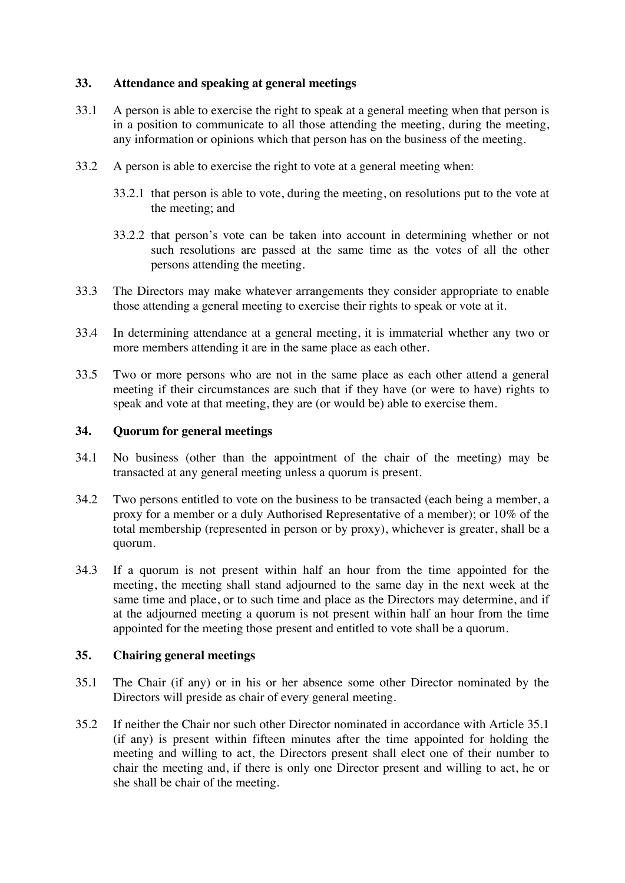### **33. Attendance and speaking at general meetings**

- 33.1 A person is able to exercise the right to speak at a general meeting when that person is in a position to communicate to all those attending the meeting, during the meeting, any information or opinions which that person has on the business of the meeting.
- 33.2 A person is able to exercise the right to vote at a general meeting when:
	- 33.2.1 that person is able to vote, during the meeting, on resolutions put to the vote at the meeting; and
	- 33.2.2 that person's vote can be taken into account in determining whether or not such resolutions are passed at the same time as the votes of all the other persons attending the meeting.
- 33.3 The Directors may make whatever arrangements they consider appropriate to enable those attending a general meeting to exercise their rights to speak or vote at it.
- 33.4 In determining attendance at a general meeting, it is immaterial whether any two or more members attending it are in the same place as each other.
- 33.5 Two or more persons who are not in the same place as each other attend a general meeting if their circumstances are such that if they have (or were to have) rights to speak and vote at that meeting, they are (or would be) able to exercise them.

### **34. Quorum for general meetings**

- 34.1 No business (other than the appointment of the chair of the meeting) may be transacted at any general meeting unless a quorum is present.
- 34.2 Two persons entitled to vote on the business to be transacted (each being a member, a proxy for a member or a duly Authorised Representative of a member); or 10% of the total membership (represented in person or by proxy), whichever is greater, shall be a quorum.
- 34.3 If a quorum is not present within half an hour from the time appointed for the meeting, the meeting shall stand adjourned to the same day in the next week at the same time and place, or to such time and place as the Directors may determine, and if at the adjourned meeting a quorum is not present within half an hour from the time appointed for the meeting those present and entitled to vote shall be a quorum.

### **35. Chairing general meetings**

- 35.1 The Chair (if any) or in his or her absence some other Director nominated by the Directors will preside as chair of every general meeting.
- 35.2 If neither the Chair nor such other Director nominated in accordance with Article 35.1 (if any) is present within fifteen minutes after the time appointed for holding the meeting and willing to act, the Directors present shall elect one of their number to chair the meeting and, if there is only one Director present and willing to act, he or she shall be chair of the meeting.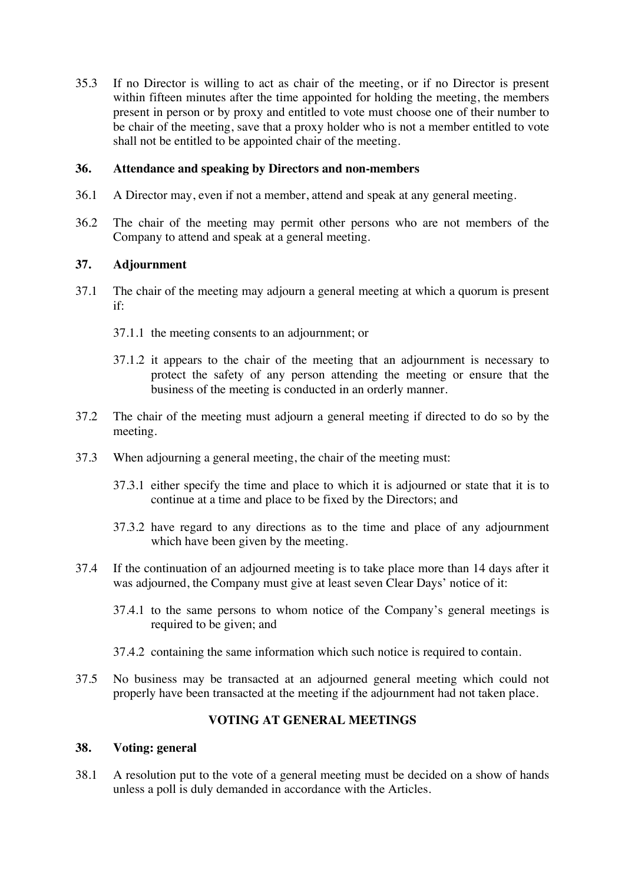35.3 If no Director is willing to act as chair of the meeting, or if no Director is present within fifteen minutes after the time appointed for holding the meeting, the members present in person or by proxy and entitled to vote must choose one of their number to be chair of the meeting, save that a proxy holder who is not a member entitled to vote shall not be entitled to be appointed chair of the meeting.

### **36. Attendance and speaking by Directors and non-members**

- 36.1 A Director may, even if not a member, attend and speak at any general meeting.
- 36.2 The chair of the meeting may permit other persons who are not members of the Company to attend and speak at a general meeting.

### **37. Adjournment**

- 37.1 The chair of the meeting may adjourn a general meeting at which a quorum is present if:
	- 37.1.1 the meeting consents to an adjournment; or
	- 37.1.2 it appears to the chair of the meeting that an adjournment is necessary to protect the safety of any person attending the meeting or ensure that the business of the meeting is conducted in an orderly manner.
- 37.2 The chair of the meeting must adjourn a general meeting if directed to do so by the meeting.
- 37.3 When adjourning a general meeting, the chair of the meeting must:
	- 37.3.1 either specify the time and place to which it is adjourned or state that it is to continue at a time and place to be fixed by the Directors; and
	- 37.3.2 have regard to any directions as to the time and place of any adjournment which have been given by the meeting.
- 37.4 If the continuation of an adjourned meeting is to take place more than 14 days after it was adjourned, the Company must give at least seven Clear Days' notice of it:
	- 37.4.1 to the same persons to whom notice of the Company's general meetings is required to be given; and
	- 37.4.2 containing the same information which such notice is required to contain.
- 37.5 No business may be transacted at an adjourned general meeting which could not properly have been transacted at the meeting if the adjournment had not taken place.

# **VOTING AT GENERAL MEETINGS**

### **38. Voting: general**

38.1 A resolution put to the vote of a general meeting must be decided on a show of hands unless a poll is duly demanded in accordance with the Articles.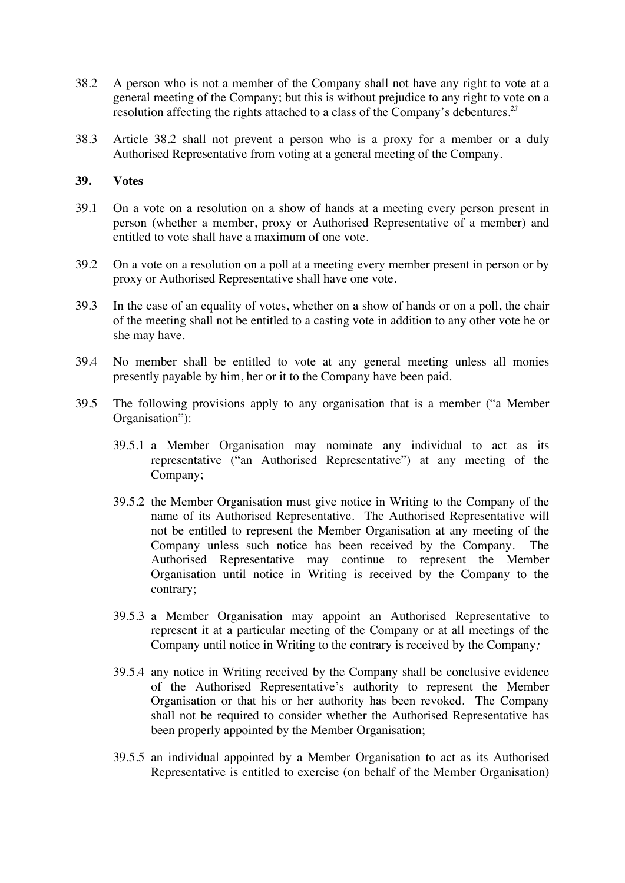- 38.2 A person who is not a member of the Company shall not have any right to vote at a general meeting of the Company; but this is without prejudice to any right to vote on a resolution affecting the rights attached to a class of the Company's debentures*. 23*
- 38.3 Article 38.2 shall not prevent a person who is a proxy for a member or a duly Authorised Representative from voting at a general meeting of the Company.

### **39. Votes**

- 39.1 On a vote on a resolution on a show of hands at a meeting every person present in person (whether a member, proxy or Authorised Representative of a member) and entitled to vote shall have a maximum of one vote.
- 39.2 On a vote on a resolution on a poll at a meeting every member present in person or by proxy or Authorised Representative shall have one vote.
- 39.3 In the case of an equality of votes, whether on a show of hands or on a poll, the chair of the meeting shall not be entitled to a casting vote in addition to any other vote he or she may have.
- 39.4 No member shall be entitled to vote at any general meeting unless all monies presently payable by him, her or it to the Company have been paid.
- 39.5 The following provisions apply to any organisation that is a member ("a Member Organisation"):
	- 39.5.1 a Member Organisation may nominate any individual to act as its representative ("an Authorised Representative") at any meeting of the Company;
	- 39.5.2 the Member Organisation must give notice in Writing to the Company of the name of its Authorised Representative. The Authorised Representative will not be entitled to represent the Member Organisation at any meeting of the Company unless such notice has been received by the Company. The Authorised Representative may continue to represent the Member Organisation until notice in Writing is received by the Company to the contrary;
	- 39.5.3 a Member Organisation may appoint an Authorised Representative to represent it at a particular meeting of the Company or at all meetings of the Company until notice in Writing to the contrary is received by the Company*;*
	- 39.5.4 any notice in Writing received by the Company shall be conclusive evidence of the Authorised Representative's authority to represent the Member Organisation or that his or her authority has been revoked. The Company shall not be required to consider whether the Authorised Representative has been properly appointed by the Member Organisation;
	- 39.5.5 an individual appointed by a Member Organisation to act as its Authorised Representative is entitled to exercise (on behalf of the Member Organisation)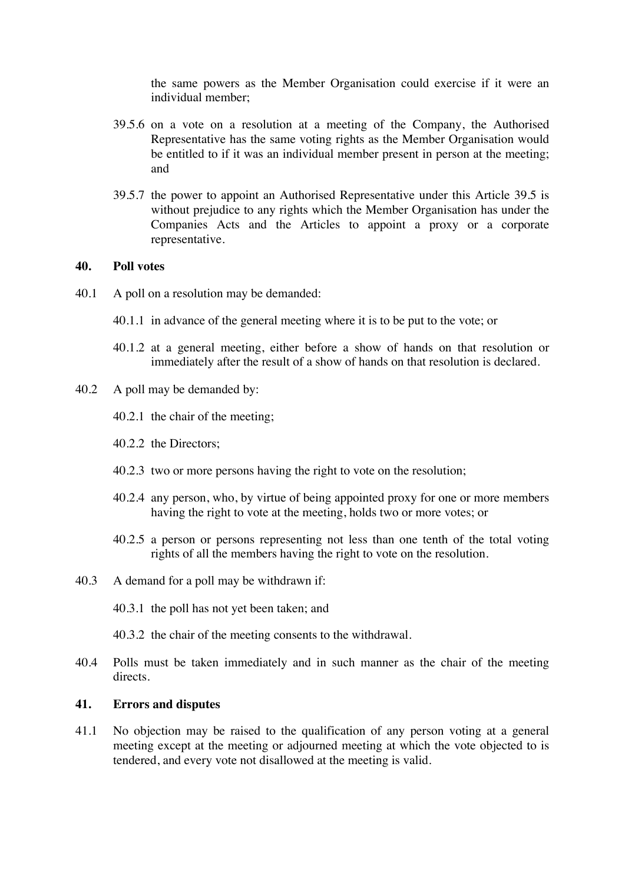the same powers as the Member Organisation could exercise if it were an individual member;

- 39.5.6 on a vote on a resolution at a meeting of the Company, the Authorised Representative has the same voting rights as the Member Organisation would be entitled to if it was an individual member present in person at the meeting; and
- 39.5.7 the power to appoint an Authorised Representative under this Article 39.5 is without prejudice to any rights which the Member Organisation has under the Companies Acts and the Articles to appoint a proxy or a corporate representative.

#### **40. Poll votes**

- 40.1 A poll on a resolution may be demanded:
	- 40.1.1 in advance of the general meeting where it is to be put to the vote; or
	- 40.1.2 at a general meeting, either before a show of hands on that resolution or immediately after the result of a show of hands on that resolution is declared.
- 40.2 A poll may be demanded by:
	- 40.2.1 the chair of the meeting;
	- 40.2.2 the Directors;
	- 40.2.3 two or more persons having the right to vote on the resolution;
	- 40.2.4 any person, who, by virtue of being appointed proxy for one or more members having the right to vote at the meeting, holds two or more votes; or
	- 40.2.5 a person or persons representing not less than one tenth of the total voting rights of all the members having the right to vote on the resolution.
- 40.3 A demand for a poll may be withdrawn if:
	- 40.3.1 the poll has not yet been taken; and
	- 40.3.2 the chair of the meeting consents to the withdrawal.
- 40.4 Polls must be taken immediately and in such manner as the chair of the meeting directs.

#### **41. Errors and disputes**

41.1 No objection may be raised to the qualification of any person voting at a general meeting except at the meeting or adjourned meeting at which the vote objected to is tendered, and every vote not disallowed at the meeting is valid.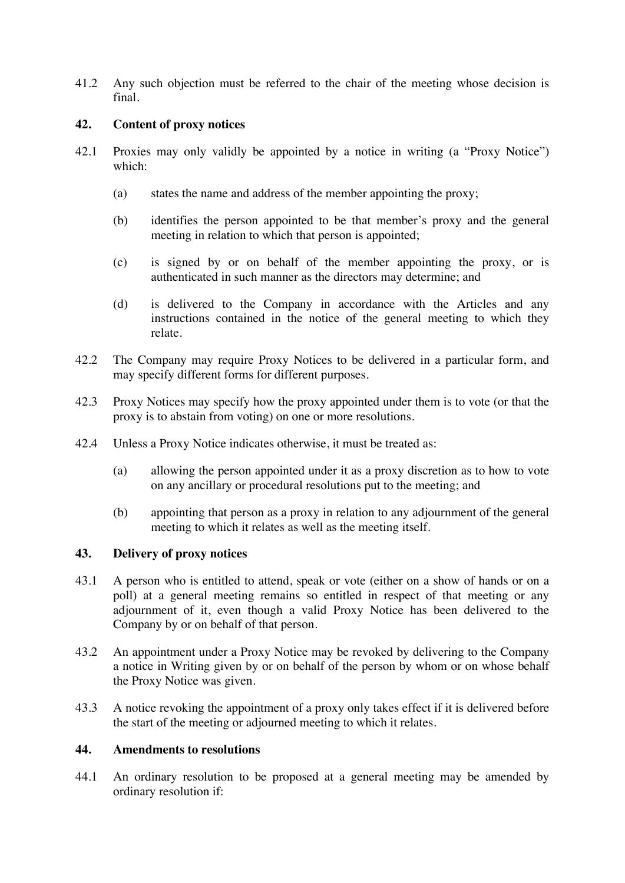41.2 Any such objection must be referred to the chair of the meeting whose decision is final.

### **42. Content of proxy notices**

- 42.1 Proxies may only validly be appointed by a notice in writing (a "Proxy Notice") which:
	- (a) states the name and address of the member appointing the proxy;
	- (b) identifies the person appointed to be that member's proxy and the general meeting in relation to which that person is appointed;
	- (c) is signed by or on behalf of the member appointing the proxy, or is authenticated in such manner as the directors may determine; and
	- (d) is delivered to the Company in accordance with the Articles and any instructions contained in the notice of the general meeting to which they relate.
- 42.2 The Company may require Proxy Notices to be delivered in a particular form, and may specify different forms for different purposes.
- 42.3 Proxy Notices may specify how the proxy appointed under them is to vote (or that the proxy is to abstain from voting) on one or more resolutions.
- 42.4 Unless a Proxy Notice indicates otherwise, it must be treated as:
	- (a) allowing the person appointed under it as a proxy discretion as to how to vote on any ancillary or procedural resolutions put to the meeting; and
	- (b) appointing that person as a proxy in relation to any adjournment of the general meeting to which it relates as well as the meeting itself.

# **43. Delivery of proxy notices**

- 43.1 A person who is entitled to attend, speak or vote (either on a show of hands or on a poll) at a general meeting remains so entitled in respect of that meeting or any adjournment of it, even though a valid Proxy Notice has been delivered to the Company by or on behalf of that person.
- 43.2 An appointment under a Proxy Notice may be revoked by delivering to the Company a notice in Writing given by or on behalf of the person by whom or on whose behalf the Proxy Notice was given.
- 43.3 A notice revoking the appointment of a proxy only takes effect if it is delivered before the start of the meeting or adjourned meeting to which it relates.

### **44. Amendments to resolutions**

44.1 An ordinary resolution to be proposed at a general meeting may be amended by ordinary resolution if: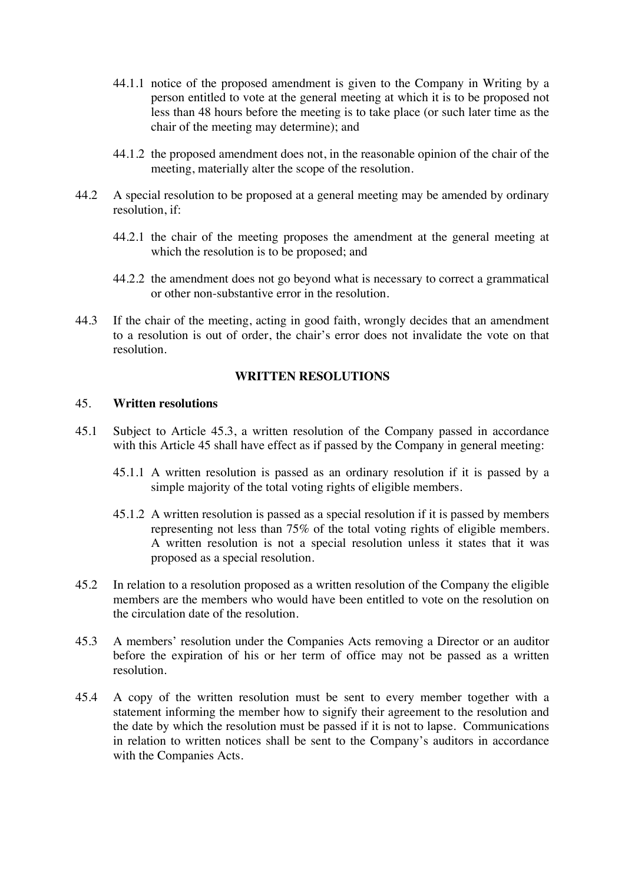- 44.1.1 notice of the proposed amendment is given to the Company in Writing by a person entitled to vote at the general meeting at which it is to be proposed not less than 48 hours before the meeting is to take place (or such later time as the chair of the meeting may determine); and
- 44.1.2 the proposed amendment does not, in the reasonable opinion of the chair of the meeting, materially alter the scope of the resolution.
- 44.2 A special resolution to be proposed at a general meeting may be amended by ordinary resolution, if:
	- 44.2.1 the chair of the meeting proposes the amendment at the general meeting at which the resolution is to be proposed; and
	- 44.2.2 the amendment does not go beyond what is necessary to correct a grammatical or other non-substantive error in the resolution.
- 44.3 If the chair of the meeting, acting in good faith, wrongly decides that an amendment to a resolution is out of order, the chair's error does not invalidate the vote on that resolution.

#### **WRITTEN RESOLUTIONS**

#### 45. **Written resolutions**

- 45.1 Subject to Article 45.3, a written resolution of the Company passed in accordance with this Article 45 shall have effect as if passed by the Company in general meeting:
	- 45.1.1 A written resolution is passed as an ordinary resolution if it is passed by a simple majority of the total voting rights of eligible members.
	- 45.1.2 A written resolution is passed as a special resolution if it is passed by members representing not less than 75% of the total voting rights of eligible members. A written resolution is not a special resolution unless it states that it was proposed as a special resolution.
- 45.2 In relation to a resolution proposed as a written resolution of the Company the eligible members are the members who would have been entitled to vote on the resolution on the circulation date of the resolution.
- 45.3 A members' resolution under the Companies Acts removing a Director or an auditor before the expiration of his or her term of office may not be passed as a written resolution.
- 45.4 A copy of the written resolution must be sent to every member together with a statement informing the member how to signify their agreement to the resolution and the date by which the resolution must be passed if it is not to lapse. Communications in relation to written notices shall be sent to the Company's auditors in accordance with the Companies Acts.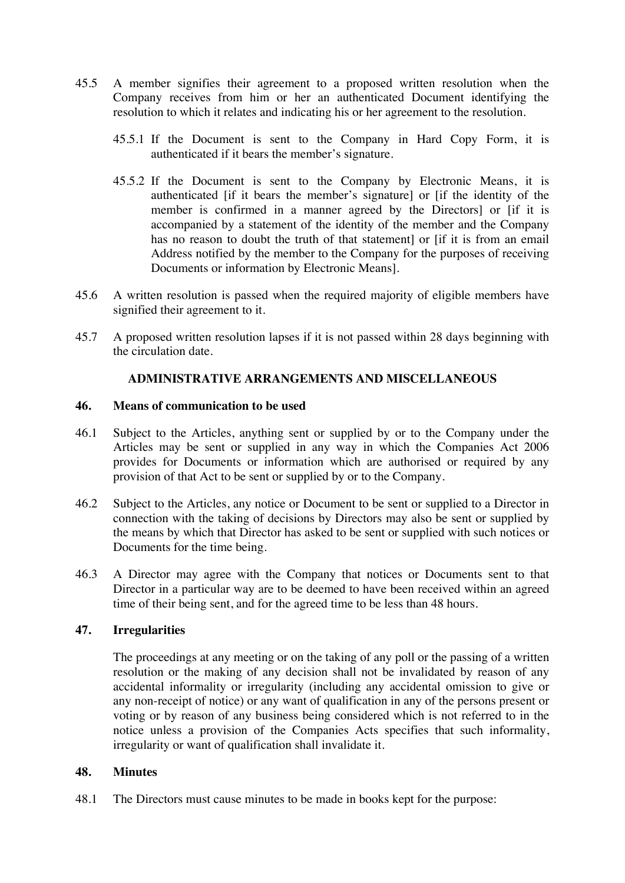- 45.5 A member signifies their agreement to a proposed written resolution when the Company receives from him or her an authenticated Document identifying the resolution to which it relates and indicating his or her agreement to the resolution.
	- 45.5.1 If the Document is sent to the Company in Hard Copy Form, it is authenticated if it bears the member's signature.
	- 45.5.2 If the Document is sent to the Company by Electronic Means, it is authenticated [if it bears the member's signature] or [if the identity of the member is confirmed in a manner agreed by the Directors] or [if it is accompanied by a statement of the identity of the member and the Company has no reason to doubt the truth of that statement] or [if it is from an email Address notified by the member to the Company for the purposes of receiving Documents or information by Electronic Means].
- 45.6 A written resolution is passed when the required majority of eligible members have signified their agreement to it.
- 45.7 A proposed written resolution lapses if it is not passed within 28 days beginning with the circulation date.

### **ADMINISTRATIVE ARRANGEMENTS AND MISCELLANEOUS**

#### **46. Means of communication to be used**

- 46.1 Subject to the Articles, anything sent or supplied by or to the Company under the Articles may be sent or supplied in any way in which the Companies Act 2006 provides for Documents or information which are authorised or required by any provision of that Act to be sent or supplied by or to the Company.
- 46.2 Subject to the Articles, any notice or Document to be sent or supplied to a Director in connection with the taking of decisions by Directors may also be sent or supplied by the means by which that Director has asked to be sent or supplied with such notices or Documents for the time being.
- 46.3 A Director may agree with the Company that notices or Documents sent to that Director in a particular way are to be deemed to have been received within an agreed time of their being sent, and for the agreed time to be less than 48 hours.

### **47. Irregularities**

The proceedings at any meeting or on the taking of any poll or the passing of a written resolution or the making of any decision shall not be invalidated by reason of any accidental informality or irregularity (including any accidental omission to give or any non-receipt of notice) or any want of qualification in any of the persons present or voting or by reason of any business being considered which is not referred to in the notice unless a provision of the Companies Acts specifies that such informality, irregularity or want of qualification shall invalidate it.

### **48. Minutes**

48.1 The Directors must cause minutes to be made in books kept for the purpose: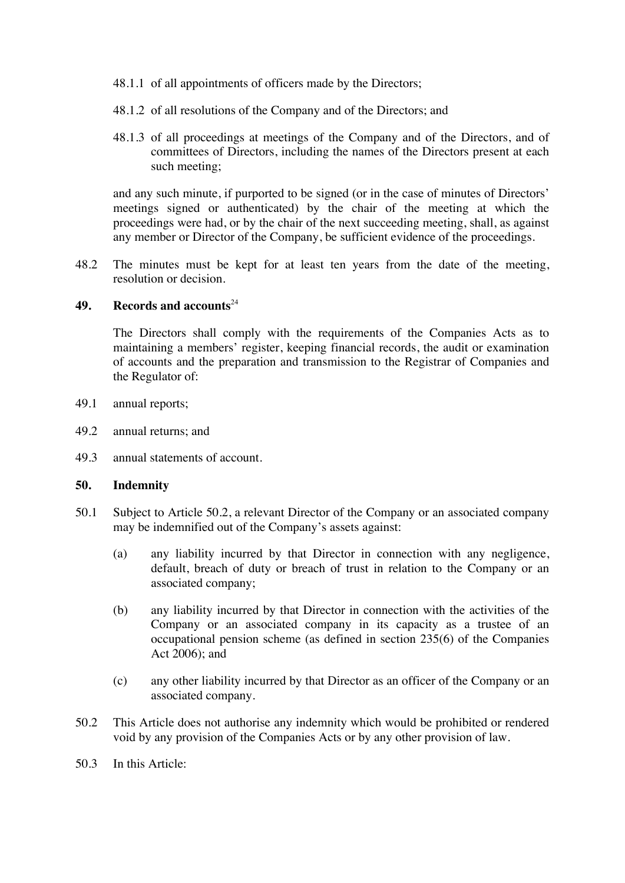- 48.1.1 of all appointments of officers made by the Directors;
- 48.1.2 of all resolutions of the Company and of the Directors; and
- 48.1.3 of all proceedings at meetings of the Company and of the Directors, and of committees of Directors, including the names of the Directors present at each such meeting;

and any such minute, if purported to be signed (or in the case of minutes of Directors' meetings signed or authenticated) by the chair of the meeting at which the proceedings were had, or by the chair of the next succeeding meeting, shall, as against any member or Director of the Company, be sufficient evidence of the proceedings.

48.2 The minutes must be kept for at least ten years from the date of the meeting, resolution or decision.

#### **49. Records and accounts**<sup>24</sup>

The Directors shall comply with the requirements of the Companies Acts as to maintaining a members' register, keeping financial records, the audit or examination of accounts and the preparation and transmission to the Registrar of Companies and the Regulator of:

- 49.1 annual reports;
- 49.2 annual returns; and
- 49.3 annual statements of account.

#### **50. Indemnity**

- 50.1 Subject to Article 50.2, a relevant Director of the Company or an associated company may be indemnified out of the Company's assets against:
	- (a) any liability incurred by that Director in connection with any negligence, default, breach of duty or breach of trust in relation to the Company or an associated company;
	- (b) any liability incurred by that Director in connection with the activities of the Company or an associated company in its capacity as a trustee of an occupational pension scheme (as defined in section 235(6) of the Companies Act 2006); and
	- (c) any other liability incurred by that Director as an officer of the Company or an associated company.
- 50.2 This Article does not authorise any indemnity which would be prohibited or rendered void by any provision of the Companies Acts or by any other provision of law.
- 50.3 In this Article: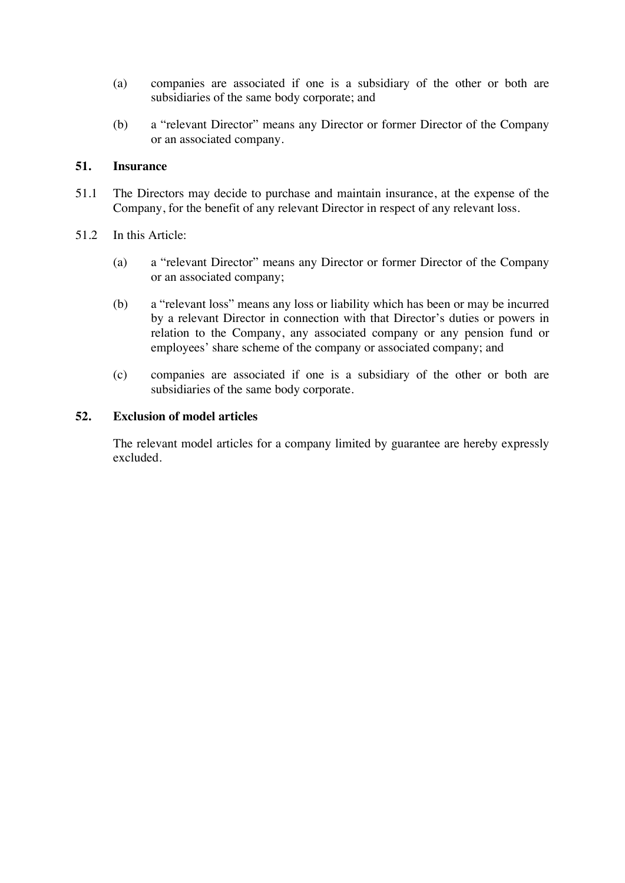- (a) companies are associated if one is a subsidiary of the other or both are subsidiaries of the same body corporate; and
- (b) a "relevant Director" means any Director or former Director of the Company or an associated company.

### **51. Insurance**

- 51.1 The Directors may decide to purchase and maintain insurance, at the expense of the Company, for the benefit of any relevant Director in respect of any relevant loss.
- 51.2 In this Article:
	- (a) a "relevant Director" means any Director or former Director of the Company or an associated company;
	- (b) a "relevant loss" means any loss or liability which has been or may be incurred by a relevant Director in connection with that Director's duties or powers in relation to the Company, any associated company or any pension fund or employees' share scheme of the company or associated company; and
	- (c) companies are associated if one is a subsidiary of the other or both are subsidiaries of the same body corporate.

#### **52. Exclusion of model articles**

The relevant model articles for a company limited by guarantee are hereby expressly excluded.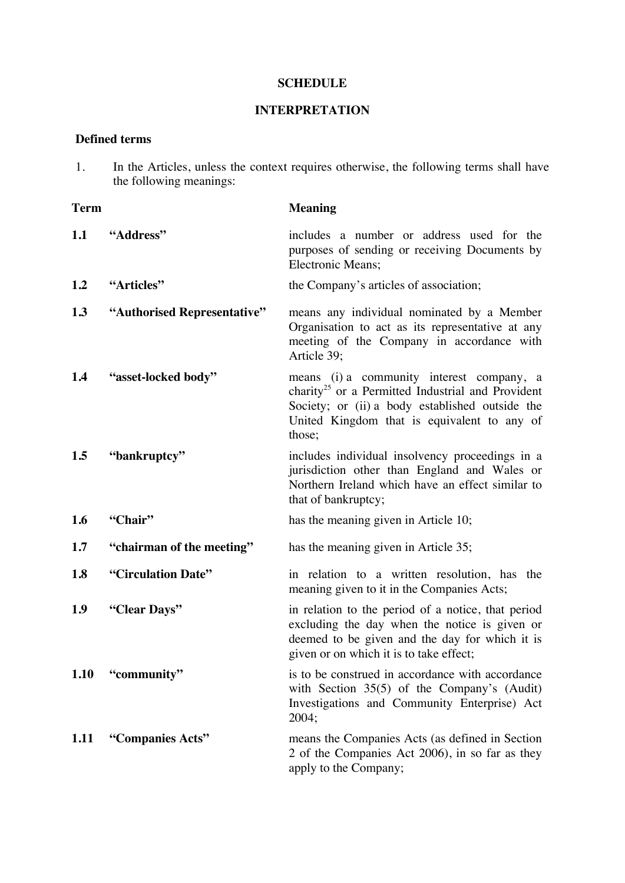### **SCHEDULE**

# **INTERPRETATION**

### **Defined terms**

1. In the Articles, unless the context requires otherwise, the following terms shall have the following meanings:

| Term        |                             | <b>Meaning</b>                                                                                                                                                                                                         |
|-------------|-----------------------------|------------------------------------------------------------------------------------------------------------------------------------------------------------------------------------------------------------------------|
| 1.1         | "Address"                   | includes a number or address used for the<br>purposes of sending or receiving Documents by<br><b>Electronic Means;</b>                                                                                                 |
| 1.2         | "Articles"                  | the Company's articles of association;                                                                                                                                                                                 |
| 1.3         | "Authorised Representative" | means any individual nominated by a Member<br>Organisation to act as its representative at any<br>meeting of the Company in accordance with<br>Article 39:                                                             |
| 1.4         | "asset-locked body"         | means (i) a community interest company, a<br>charity <sup>25</sup> or a Permitted Industrial and Provident<br>Society; or (ii) a body established outside the<br>United Kingdom that is equivalent to any of<br>those; |
| 1.5         | "bankruptcy"                | includes individual insolvency proceedings in a<br>jurisdiction other than England and Wales or<br>Northern Ireland which have an effect similar to<br>that of bankruptcy;                                             |
| 1.6         | "Chair"                     | has the meaning given in Article 10;                                                                                                                                                                                   |
| 1.7         | "chairman of the meeting"   | has the meaning given in Article 35;                                                                                                                                                                                   |
| 1.8         | "Circulation Date"          | in relation to a written resolution, has the<br>meaning given to it in the Companies Acts;                                                                                                                             |
| 1.9         | "Clear Days"                | in relation to the period of a notice, that period<br>excluding the day when the notice is given or<br>deemed to be given and the day for which it is<br>given or on which it is to take effect;                       |
|             | 1.10 "community"            | is to be construed in accordance with accordance<br>with Section $35(5)$ of the Company's (Audit)<br>Investigations and Community Enterprise) Act<br>2004;                                                             |
| <b>1.11</b> | "Companies Acts"            | means the Companies Acts (as defined in Section<br>2 of the Companies Act 2006), in so far as they<br>apply to the Company;                                                                                            |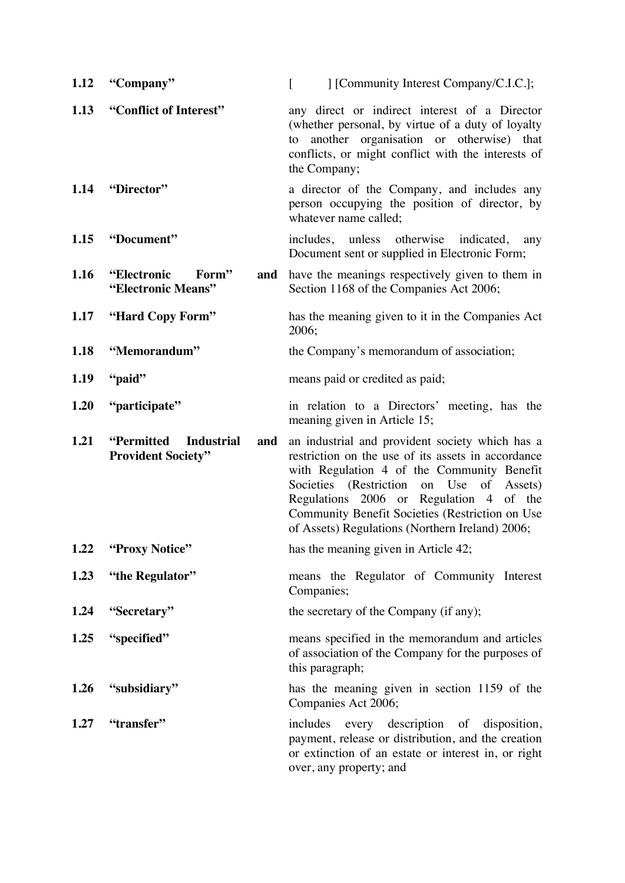| 1.12 | "Company"                                                    | [Community Interest Company/C.I.C.];<br>$\lceil$                                                                                                                                                                                                                                                                                                           |
|------|--------------------------------------------------------------|------------------------------------------------------------------------------------------------------------------------------------------------------------------------------------------------------------------------------------------------------------------------------------------------------------------------------------------------------------|
| 1.13 | "Conflict of Interest"                                       | any direct or indirect interest of a Director<br>(whether personal, by virtue of a duty of loyalty<br>another organisation or otherwise) that<br>to<br>conflicts, or might conflict with the interests of<br>the Company;                                                                                                                                  |
| 1.14 | "Director"                                                   | a director of the Company, and includes any<br>person occupying the position of director, by<br>whatever name called;                                                                                                                                                                                                                                      |
| 1.15 | "Document"                                                   | includes, unless otherwise<br>indicated,<br>any<br>Document sent or supplied in Electronic Form;                                                                                                                                                                                                                                                           |
| 1.16 | "Electronic<br>Form"<br>and<br>"Electronic Means"            | have the meanings respectively given to them in<br>Section 1168 of the Companies Act 2006;                                                                                                                                                                                                                                                                 |
| 1.17 | "Hard Copy Form"                                             | has the meaning given to it in the Companies Act<br>2006;                                                                                                                                                                                                                                                                                                  |
| 1.18 | "Memorandum"                                                 | the Company's memorandum of association;                                                                                                                                                                                                                                                                                                                   |
| 1.19 | "paid"                                                       | means paid or credited as paid;                                                                                                                                                                                                                                                                                                                            |
| 1.20 | "participate"                                                | in relation to a Directors' meeting, has the<br>meaning given in Article 15;                                                                                                                                                                                                                                                                               |
| 1.21 | "Permitted<br><b>Industrial</b><br><b>Provident Society"</b> | and an industrial and provident society which has a<br>restriction on the use of its assets in accordance<br>with Regulation 4 of the Community Benefit<br>Societies (Restriction<br>on Use<br>of Assets)<br>Regulations 2006 or Regulation 4 of the<br>Community Benefit Societies (Restriction on Use<br>of Assets) Regulations (Northern Ireland) 2006; |
| 1.22 | "Proxy Notice"                                               | has the meaning given in Article 42;                                                                                                                                                                                                                                                                                                                       |
| 1.23 | "the Regulator"                                              | means the Regulator of Community Interest<br>Companies;                                                                                                                                                                                                                                                                                                    |
| 1.24 | "Secretary"                                                  | the secretary of the Company (if any);                                                                                                                                                                                                                                                                                                                     |
| 1.25 | "specified"                                                  | means specified in the memorandum and articles<br>of association of the Company for the purposes of<br>this paragraph;                                                                                                                                                                                                                                     |
| 1.26 | "subsidiary"                                                 | has the meaning given in section 1159 of the<br>Companies Act 2006;                                                                                                                                                                                                                                                                                        |
| 1.27 | "transfer"                                                   | includes every description of disposition,<br>payment, release or distribution, and the creation<br>or extinction of an estate or interest in, or right<br>over, any property; and                                                                                                                                                                         |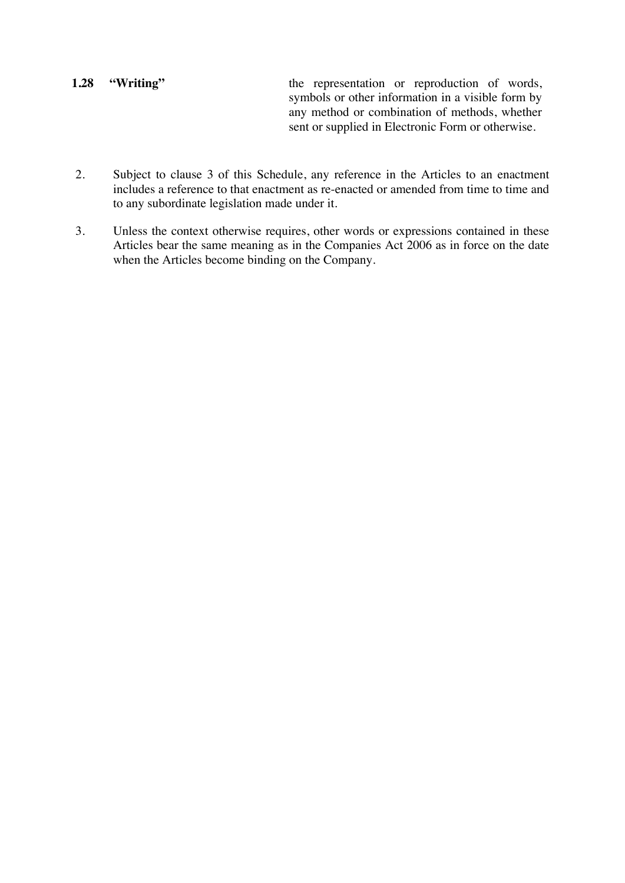# **1.28 "Writing"** the representation or reproduction of words, symbols or other information in a visible form by any method or combination of methods, whether sent or supplied in Electronic Form or otherwise.

- 2. Subject to clause 3 of this Schedule, any reference in the Articles to an enactment includes a reference to that enactment as re-enacted or amended from time to time and to any subordinate legislation made under it.
- 3. Unless the context otherwise requires, other words or expressions contained in these Articles bear the same meaning as in the Companies Act 2006 as in force on the date when the Articles become binding on the Company.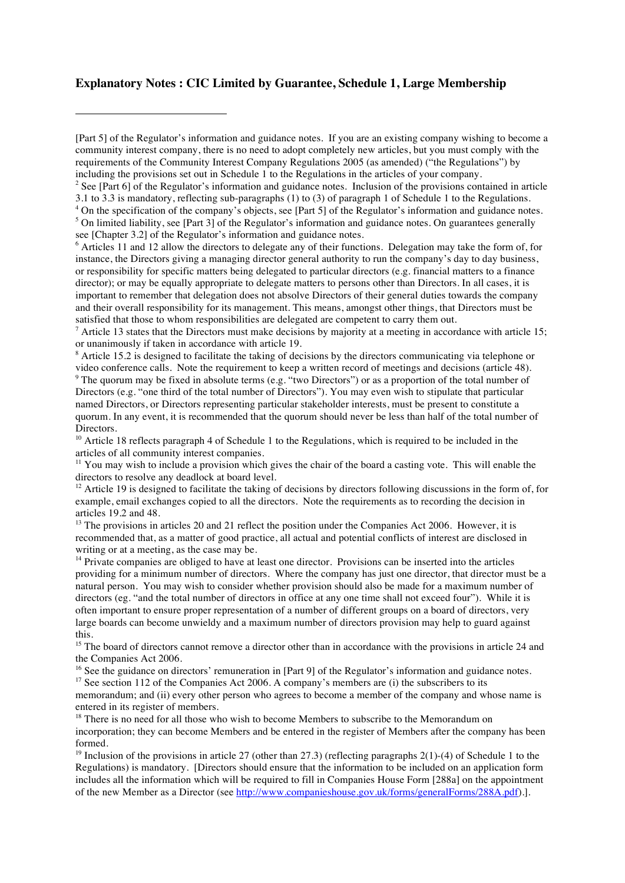#### **Explanatory Notes : CIC Limited by Guarantee, Schedule 1, Large Membership**

<sup>2</sup> See [Part 6] of the Regulator's information and guidance notes. Inclusion of the provisions contained in article 3.1 to 3.3 is mandatory, reflecting sub-paragraphs (1) to (3) of paragraph 1 of Schedule 1 to the Regulations. <sup>4</sup> On the specification of the company's objects, see [Part 5] of the Regulator's information and guidance notes. <sup>5</sup> On limited liability, see [Part 3] of the Regulator's information and guidance notes. On guarantees generally see [Chapter 3.2] of the Regulator's information and guidance notes.

<sup>6</sup> Articles 11 and 12 allow the directors to delegate any of their functions. Delegation may take the form of, for instance, the Directors giving a managing director general authority to run the company's day to day business, or responsibility for specific matters being delegated to particular directors (e.g. financial matters to a finance director); or may be equally appropriate to delegate matters to persons other than Directors. In all cases, it is important to remember that delegation does not absolve Directors of their general duties towards the company and their overall responsibility for its management. This means, amongst other things, that Directors must be satisfied that those to whom responsibilities are delegated are competent to carry them out.

 $^7$  Article 13 states that the Directors must make decisions by majority at a meeting in accordance with article 15; or unanimously if taken in accordance with article 19.

<sup>8</sup> Article 15.2 is designed to facilitate the taking of decisions by the directors communicating via telephone or video conference calls. Note the requirement to keep a written record of meetings and decisions (article 48).

<sup>9</sup> The quorum may be fixed in absolute terms (e.g. "two Directors") or as a proportion of the total number of Directors (e.g. "one third of the total number of Directors"). You may even wish to stipulate that particular named Directors, or Directors representing particular stakeholder interests, must be present to constitute a quorum. In any event, it is recommended that the quorum should never be less than half of the total number of Directors.

<sup>10</sup> Article 18 reflects paragraph 4 of Schedule 1 to the Regulations, which is required to be included in the articles of all community interest companies.

<sup>11</sup> You may wish to include a provision which gives the chair of the board a casting vote. This will enable the directors to resolve any deadlock at board level.

<sup>12</sup> Article 19 is designed to facilitate the taking of decisions by directors following discussions in the form of, for example, email exchanges copied to all the directors. Note the requirements as to recording the decision in articles 19.2 and 48.

<sup>13</sup> The provisions in articles 20 and 21 reflect the position under the Companies Act 2006. However, it is recommended that, as a matter of good practice, all actual and potential conflicts of interest are disclosed in writing or at a meeting, as the case may be.

<sup>14</sup> Private companies are obliged to have at least one director. Provisions can be inserted into the articles providing for a minimum number of directors. Where the company has just one director, that director must be a natural person. You may wish to consider whether provision should also be made for a maximum number of directors (eg. "and the total number of directors in office at any one time shall not exceed four"). While it is often important to ensure proper representation of a number of different groups on a board of directors, very large boards can become unwieldy and a maximum number of directors provision may help to guard against this.

<sup>15</sup> The board of directors cannot remove a director other than in accordance with the provisions in article 24 and the Companies Act 2006.

<sup>16</sup> See the guidance on directors' remuneration in [Part 9] of the Regulator's information and guidance notes.

 $17$  See section 112 of the Companies Act 2006. A company's members are (i) the subscribers to its

memorandum; and (ii) every other person who agrees to become a member of the company and whose name is entered in its register of members.

<sup>18</sup> There is no need for all those who wish to become Members to subscribe to the Memorandum on incorporation; they can become Members and be entered in the register of Members after the company has been formed.

<sup>19</sup> Inclusion of the provisions in article 27 (other than 27.3) (reflecting paragraphs 2(1)-(4) of Schedule 1 to the Regulations) is mandatory. [Directors should ensure that the information to be included on an application form includes all the information which will be required to fill in Companies House Form [288a] on the appointment of the new Member as a Director (see http://www.companieshouse.gov.uk/forms/generalForms/288A.pdf).].

<sup>[</sup>Part 5] of the Regulator's information and guidance notes. If you are an existing company wishing to become a community interest company, there is no need to adopt completely new articles, but you must comply with the requirements of the Community Interest Company Regulations 2005 (as amended) ("the Regulations") by including the provisions set out in Schedule 1 to the Regulations in the articles of your company.